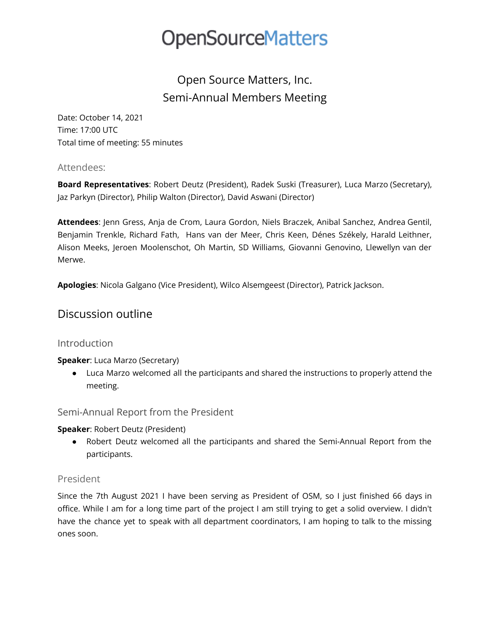# Open Source Matters, Inc. Semi-Annual Members Meeting

Date: October 14, 2021 Time: 17:00 UTC Total time of meeting: 55 minutes

### Attendees:

**Board Representatives**: Robert Deutz (President), Radek Suski (Treasurer), Luca Marzo (Secretary), Jaz Parkyn (Director), Philip Walton (Director), David Aswani (Director)

**Attendees**: Jenn Gress, Anja de Crom, Laura Gordon, Niels Braczek, Anibal Sanchez, Andrea Gentil, Benjamin Trenkle, Richard Fath, Hans van der Meer, Chris Keen, Dénes Székely, Harald Leithner, Alison Meeks, Jeroen Moolenschot, Oh Martin, SD Williams, Giovanni Genovino, Llewellyn van der Merwe.

**Apologies**: Nicola Galgano (Vice President), Wilco Alsemgeest (Director), Patrick Jackson.

# Discussion outline

# Introduction

### **Speaker**: Luca Marzo (Secretary)

● Luca Marzo welcomed all the participants and shared the instructions to properly attend the meeting.

### Semi-Annual Report from the President

### **Speaker**: Robert Deutz (President)

● Robert Deutz welcomed all the participants and shared the Semi-Annual Report from the participants.

### President

Since the 7th August 2021 I have been serving as President of OSM, so I just finished 66 days in office. While I am for a long time part of the project I am still trying to get a solid overview. I didn't have the chance yet to speak with all department coordinators, I am hoping to talk to the missing ones soon.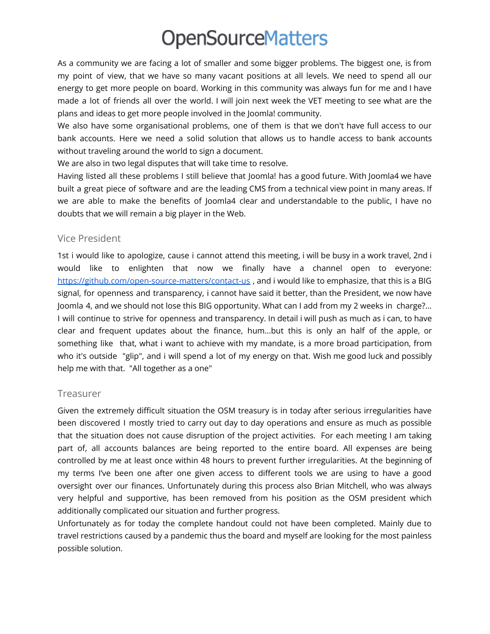As a community we are facing a lot of smaller and some bigger problems. The biggest one, is from my point of view, that we have so many vacant positions at all levels. We need to spend all our energy to get more people on board. Working in this community was always fun for me and I have made a lot of friends all over the world. I will join next week the VET meeting to see what are the plans and ideas to get more people involved in the Joomla! community.

We also have some organisational problems, one of them is that we don't have full access to our bank accounts. Here we need a solid solution that allows us to handle access to bank accounts without traveling around the world to sign a document.

We are also in two legal disputes that will take time to resolve.

Having listed all these problems I still believe that Joomla! has a good future. With Joomla4 we have built a great piece of software and are the leading CMS from a technical view point in many areas. If we are able to make the benefits of Joomla4 clear and understandable to the public, I have no doubts that we will remain a big player in the Web.

#### Vice President

1st i would like to apologize, cause i cannot attend this meeting, i will be busy in a work travel, 2nd i would like to enlighten that now we finally have a channel open to everyone: <https://github.com/open-source-matters/contact-us> , and i would like to emphasize, that this is a BIG signal, for openness and transparency, i cannot have said it better, than the President, we now have Joomla 4, and we should not lose this BIG opportunity. What can I add from my 2 weeks in charge?... I will continue to strive for openness and transparency. In detail i will push as much as i can, to have clear and frequent updates about the finance, hum...but this is only an half of the apple, or something like that, what i want to achieve with my mandate, is a more broad participation, from who it's outside "glip", and i will spend a lot of my energy on that. Wish me good luck and possibly help me with that. "All together as a one"

### Treasurer

Given the extremely difficult situation the OSM treasury is in today after serious irregularities have been discovered I mostly tried to carry out day to day operations and ensure as much as possible that the situation does not cause disruption of the project activities. For each meeting I am taking part of, all accounts balances are being reported to the entire board. All expenses are being controlled by me at least once within 48 hours to prevent further irregularities. At the beginning of my terms I've been one after one given access to different tools we are using to have a good oversight over our finances. Unfortunately during this process also Brian Mitchell, who was always very helpful and supportive, has been removed from his position as the OSM president which additionally complicated our situation and further progress.

Unfortunately as for today the complete handout could not have been completed. Mainly due to travel restrictions caused by a pandemic thus the board and myself are looking for the most painless possible solution.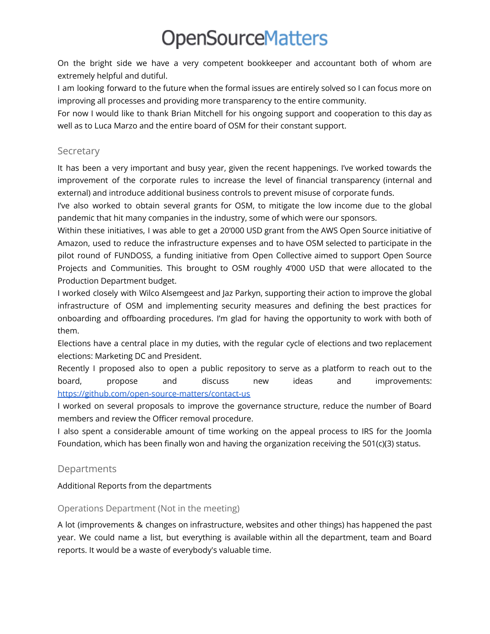On the bright side we have a very competent bookkeeper and accountant both of whom are extremely helpful and dutiful.

I am looking forward to the future when the formal issues are entirely solved so I can focus more on improving all processes and providing more transparency to the entire community.

For now I would like to thank Brian Mitchell for his ongoing support and cooperation to this day as well as to Luca Marzo and the entire board of OSM for their constant support.

## Secretary

It has been a very important and busy year, given the recent happenings. I've worked towards the improvement of the corporate rules to increase the level of financial transparency (internal and external) and introduce additional business controls to prevent misuse of corporate funds.

I've also worked to obtain several grants for OSM, to mitigate the low income due to the global pandemic that hit many companies in the industry, some of which were our sponsors.

Within these initiatives, I was able to get a 20'000 USD grant from the AWS Open Source initiative of Amazon, used to reduce the infrastructure expenses and to have OSM selected to participate in the pilot round of FUNDOSS, a funding initiative from Open Collective aimed to support Open Source Projects and Communities. This brought to OSM roughly 4'000 USD that were allocated to the Production Department budget.

I worked closely with Wilco Alsemgeest and Jaz Parkyn, supporting their action to improve the global infrastructure of OSM and implementing security measures and defining the best practices for onboarding and offboarding procedures. I'm glad for having the opportunity to work with both of them.

Elections have a central place in my duties, with the regular cycle of elections and two replacement elections: Marketing DC and President.

Recently I proposed also to open a public repository to serve as a platform to reach out to the board, propose and discuss new ideas and improvements: <https://github.com/open-source-matters/contact-us>

I worked on several proposals to improve the governance structure, reduce the number of Board members and review the Officer removal procedure.

I also spent a considerable amount of time working on the appeal process to IRS for the Joomla Foundation, which has been finally won and having the organization receiving the 501(c)(3) status.

# Departments

### Additional Reports from the departments

### Operations Department (Not in the meeting)

A lot (improvements & changes on infrastructure, websites and other things) has happened the past year. We could name a list, but everything is available within all the department, team and Board reports. It would be a waste of everybody's valuable time.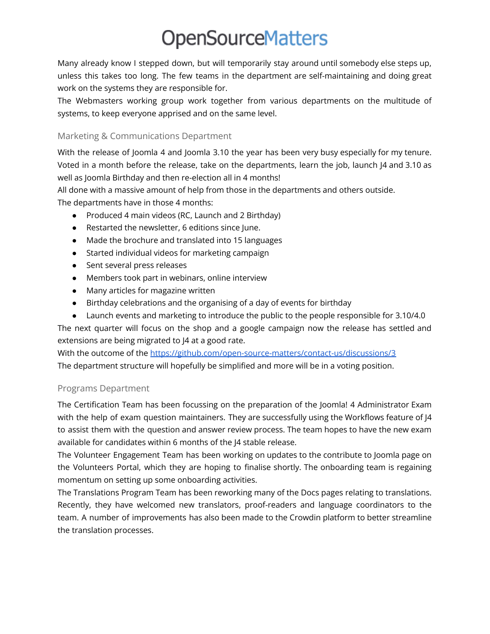Many already know I stepped down, but will temporarily stay around until somebody else steps up, unless this takes too long. The few teams in the department are self-maintaining and doing great work on the systems they are responsible for.

The Webmasters working group work together from various departments on the multitude of systems, to keep everyone apprised and on the same level.

### Marketing & Communications Department

With the release of Joomla 4 and Joomla 3.10 the year has been very busy especially for my tenure. Voted in a month before the release, take on the departments, learn the job, launch J4 and 3.10 as well as Joomla Birthday and then re-election all in 4 months!

All done with a massive amount of help from those in the departments and others outside. The departments have in those 4 months:

- Produced 4 main videos (RC, Launch and 2 Birthday)
- Restarted the newsletter, 6 editions since June.
- Made the brochure and translated into 15 languages
- Started individual videos for marketing campaign
- Sent several press releases
- Members took part in webinars, online interview
- Many articles for magazine written
- Birthday celebrations and the organising of a day of events for birthday
- Launch events and marketing to introduce the public to the people responsible for 3.10/4.0

The next quarter will focus on the shop and a google campaign now the release has settled and extensions are being migrated to J4 at a good rate.

With the outcome of the <https://github.com/open-source-matters/contact-us/discussions/3> The department structure will hopefully be simplified and more will be in a voting position.

### Programs Department

The Certification Team has been focussing on the preparation of the Joomla! 4 Administrator Exam with the help of exam question maintainers. They are successfully using the Workflows feature of J4 to assist them with the question and answer review process. The team hopes to have the new exam available for candidates within 6 months of the J4 stable release.

The Volunteer Engagement Team has been working on updates to the contribute to Joomla page on the Volunteers Portal, which they are hoping to finalise shortly. The onboarding team is regaining momentum on setting up some onboarding activities.

The Translations Program Team has been reworking many of the Docs pages relating to translations. Recently, they have welcomed new translators, proof-readers and language coordinators to the team. A number of improvements has also been made to the Crowdin platform to better streamline the translation processes.